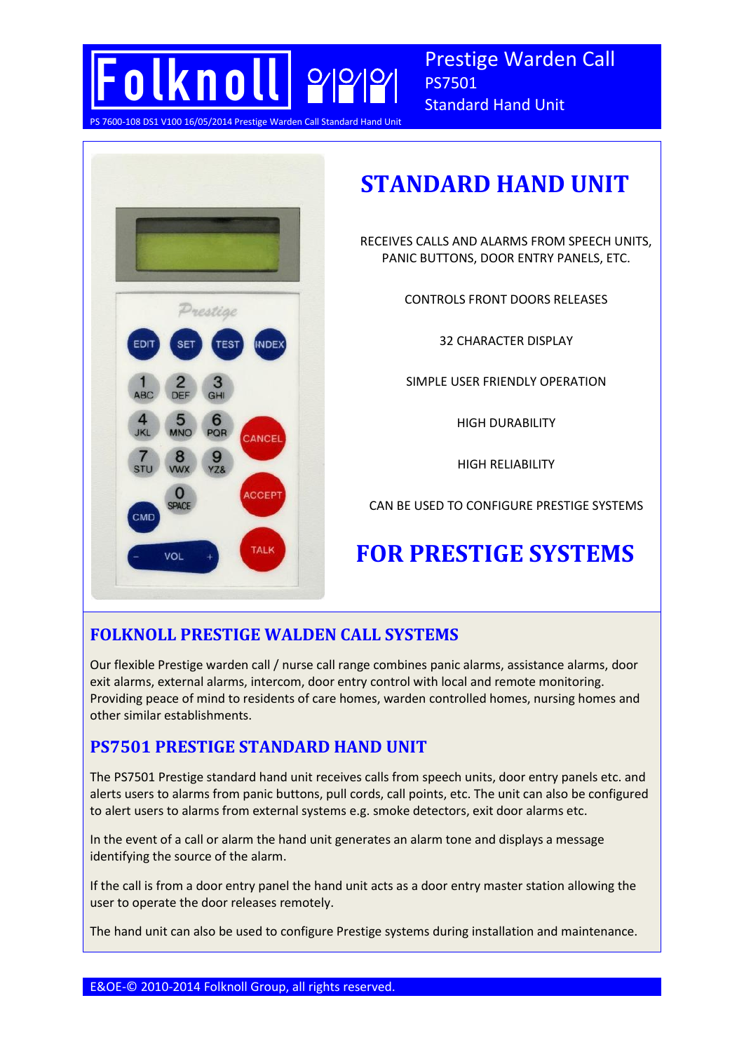

Prestige Warden Call PS7501 Standard Hand Unit

**P** Warden Call Standard Hand Unit



# **STANDARD HAND UNIT**

RECEIVES CALLS AND ALARMS FROM SPEECH UNITS, PANIC BUTTONS, DOOR ENTRY PANELS, ETC.

CONTROLS FRONT DOORS RELEASES

32 CHARACTER DISPLAY

SIMPLE USER FRIENDLY OPERATION

HIGH DURABILITY

HIGH RELIABILITY

CAN BE USED TO CONFIGURE PRESTIGE SYSTEMS

# **FOR PRESTIGE SYSTEMS**

## **FOLKNOLL PRESTIGE WALDEN CALL SYSTEMS**

Our flexible Prestige warden call / nurse call range combines panic alarms, assistance alarms, door exit alarms, external alarms, intercom, door entry control with local and remote monitoring. Providing peace of mind to residents of care homes, warden controlled homes, nursing homes and other similar establishments.

## **PS7501 PRESTIGE STANDARD HAND UNIT**

The PS7501 Prestige standard hand unit receives calls from speech units, door entry panels etc. and alerts users to alarms from panic buttons, pull cords, call points, etc. The unit can also be configured to alert users to alarms from external systems e.g. smoke detectors, exit door alarms etc.

In the event of a call or alarm the hand unit generates an alarm tone and displays a message identifying the source of the alarm.

If the call is from a door entry panel the hand unit acts as a door entry master station allowing the user to operate the door releases remotely.

The hand unit can also be used to configure Prestige systems during installation and maintenance.